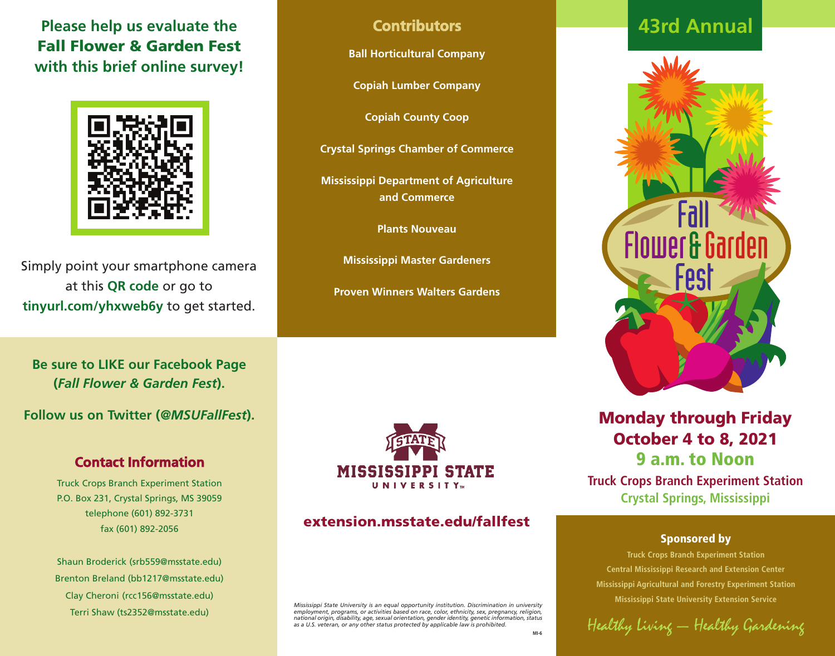## **Please help us evaluate the Fall Flower & Garden Fest with this brief online survey!**



Simply point your smartphone camera at this **QR code** or go to **tinyurl.com/yhxweb6y** to get started.

**Be sure to LIKE our Facebook Page (***Fall Flower & Garden Fest***).**

**Follow us on Twitter (***@MSUFallFest***).**

#### **Contact Information**

Truck Crops Branch Experiment Station P.O. Box 231, Crystal Springs, MS 39059 telephone (601) 892-3731 fax (601) 892-2056

Shaun Broderick (srb559@msstate.edu) Brenton Breland (bb1217@msstate.edu) Clay Cheroni (rcc156@msstate.edu) Terri Shaw (ts2352@msstate.edu)

### **Contributors**

**Ball Horticultural Company**

**Copiah Lumber Company**

**Copiah County Coop**

**Crystal Springs Chamber of Commerce**

**Mississippi Department of Agriculture and Commerce**

**Plants Nouveau**

**Mississippi Master Gardeners**

**Proven Winners Walters Gardens**



#### **extension.msstate.edu/fallfest**

*Mississippi State University is an equal opportunity institution. Discrimination in university employment, programs, or activities based on race, color, ethnicity, sex, pregnancy, religion, national origin, disability, age, sexual orientation, gender identity, genetic information, status as a U.S. veteran, or any other status protected by applicable law is prohibited.*

# **43rd Annual**



**Monday through Friday October 4 to 8, 2021 9 a.m. to Noon**

**Truck Crops Branch Experiment Station Crystal Springs, Mississippi**

#### **Sponsored by**

**Truck Crops Branch Experiment Station Central Mississippi Research and Extension Center Mississippi Agricultural and Forestry Experiment Station Mississippi State University Extension Service**

Healthy Living — Healthy Gardening